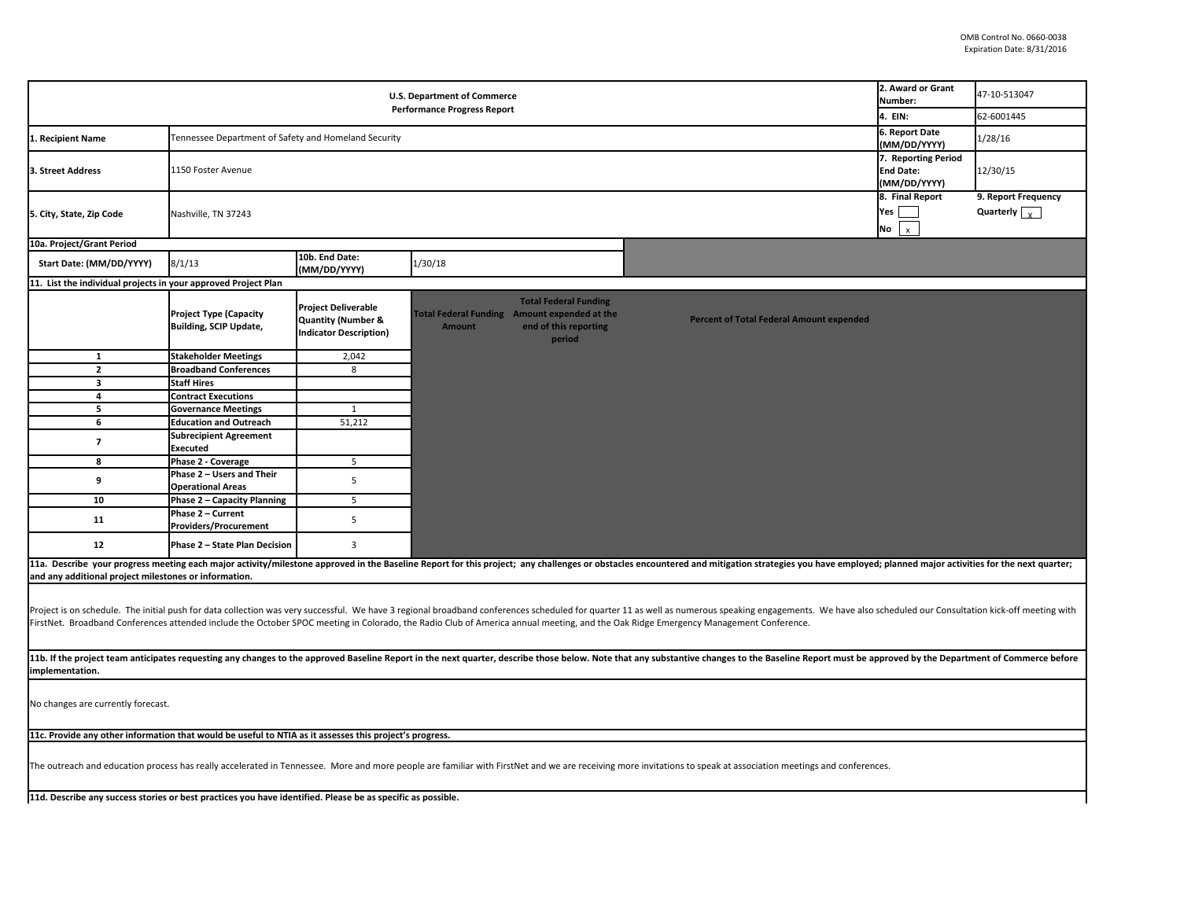| <b>U.S. Department of Commerce</b><br><b>Performance Progress Report</b>                                                                                                                                                                                                                                                                                                                                              |                                                                |                                                                                              |                                                               |                                                                 |                                                 | 2. Award or Grant<br>Number:<br>4. EIN:                 | 47-10-513047<br>62-6001445                             |
|-----------------------------------------------------------------------------------------------------------------------------------------------------------------------------------------------------------------------------------------------------------------------------------------------------------------------------------------------------------------------------------------------------------------------|----------------------------------------------------------------|----------------------------------------------------------------------------------------------|---------------------------------------------------------------|-----------------------------------------------------------------|-------------------------------------------------|---------------------------------------------------------|--------------------------------------------------------|
| 1. Recipient Name                                                                                                                                                                                                                                                                                                                                                                                                     | Tennessee Department of Safety and Homeland Security           |                                                                                              |                                                               |                                                                 |                                                 | 6. Report Date<br>(MM/DD/YYYY)                          | 1/28/16                                                |
| 3. Street Address                                                                                                                                                                                                                                                                                                                                                                                                     | 1150 Foster Avenue                                             |                                                                                              |                                                               |                                                                 |                                                 | 7. Reporting Period<br><b>End Date:</b><br>(MM/DD/YYYY) | 12/30/15                                               |
| 5. City, State, Zip Code                                                                                                                                                                                                                                                                                                                                                                                              | Nashville, TN 37243                                            |                                                                                              |                                                               |                                                                 |                                                 | 8. Final Report<br>Yes<br>No<br>$\mathbf{x}$            | 9. Report Frequency<br>Quarterly $\boxed{\phantom{a}}$ |
| 10a. Project/Grant Period                                                                                                                                                                                                                                                                                                                                                                                             |                                                                |                                                                                              |                                                               |                                                                 |                                                 |                                                         |                                                        |
| Start Date: (MM/DD/YYYY)                                                                                                                                                                                                                                                                                                                                                                                              | 8/1/13                                                         | 10b. End Date:<br>(MM/DD/YYYY)                                                               | 1/30/18                                                       |                                                                 |                                                 |                                                         |                                                        |
| 11. List the individual projects in your approved Project Plan                                                                                                                                                                                                                                                                                                                                                        |                                                                |                                                                                              |                                                               |                                                                 |                                                 |                                                         |                                                        |
|                                                                                                                                                                                                                                                                                                                                                                                                                       | <b>Project Type (Capacity</b><br><b>Building, SCIP Update,</b> | <b>Project Deliverable</b><br><b>Quantity (Number &amp;</b><br><b>Indicator Description)</b> | Total Federal Funding Amount expended at the<br><b>Amount</b> | <b>Total Federal Funding</b><br>end of this reporting<br>period | <b>Percent of Total Federal Amount expended</b> |                                                         |                                                        |
| $\mathbf{1}$                                                                                                                                                                                                                                                                                                                                                                                                          | <b>Stakeholder Meetings</b>                                    | 2,042                                                                                        |                                                               |                                                                 |                                                 |                                                         |                                                        |
| $\overline{2}$                                                                                                                                                                                                                                                                                                                                                                                                        | <b>Broadband Conferences</b>                                   | 8                                                                                            |                                                               |                                                                 |                                                 |                                                         |                                                        |
| 3                                                                                                                                                                                                                                                                                                                                                                                                                     | <b>Staff Hires</b>                                             |                                                                                              |                                                               |                                                                 |                                                 |                                                         |                                                        |
| 4                                                                                                                                                                                                                                                                                                                                                                                                                     | <b>Contract Executions</b>                                     |                                                                                              |                                                               |                                                                 |                                                 |                                                         |                                                        |
| 5                                                                                                                                                                                                                                                                                                                                                                                                                     | <b>Governance Meetings</b>                                     | 1                                                                                            |                                                               |                                                                 |                                                 |                                                         |                                                        |
| 6                                                                                                                                                                                                                                                                                                                                                                                                                     | <b>Education and Outreach</b>                                  | 51,212                                                                                       |                                                               |                                                                 |                                                 |                                                         |                                                        |
| $\overline{7}$                                                                                                                                                                                                                                                                                                                                                                                                        | <b>Subrecipient Agreement</b><br>Executed                      |                                                                                              |                                                               |                                                                 |                                                 |                                                         |                                                        |
| 8                                                                                                                                                                                                                                                                                                                                                                                                                     | Phase 2 - Coverage                                             | 5                                                                                            |                                                               |                                                                 |                                                 |                                                         |                                                        |
| 9                                                                                                                                                                                                                                                                                                                                                                                                                     | Phase 2 - Users and Their<br><b>Operational Areas</b>          | 5                                                                                            |                                                               |                                                                 |                                                 |                                                         |                                                        |
| 10                                                                                                                                                                                                                                                                                                                                                                                                                    | Phase 2 - Capacity Planning                                    | 5                                                                                            |                                                               |                                                                 |                                                 |                                                         |                                                        |
| 11                                                                                                                                                                                                                                                                                                                                                                                                                    | Phase 2 - Current                                              | 5                                                                                            |                                                               |                                                                 |                                                 |                                                         |                                                        |
|                                                                                                                                                                                                                                                                                                                                                                                                                       | <b>Providers/Procurement</b>                                   |                                                                                              |                                                               |                                                                 |                                                 |                                                         |                                                        |
| 12                                                                                                                                                                                                                                                                                                                                                                                                                    | Phase 2 - State Plan Decision                                  | $\overline{\mathbf{3}}$                                                                      |                                                               |                                                                 |                                                 |                                                         |                                                        |
| 11a. Describe your progress meeting each major activity/milestone approved in the Baseline Report for this project; any challenges or obstacles encountered and mitigation strategies you have employed; planned major activit                                                                                                                                                                                        |                                                                |                                                                                              |                                                               |                                                                 |                                                 |                                                         |                                                        |
| and any additional project milestones or information.                                                                                                                                                                                                                                                                                                                                                                 |                                                                |                                                                                              |                                                               |                                                                 |                                                 |                                                         |                                                        |
| Project is on schedule. The initial push for data collection was very successful. We have 3 regional broadband conferences scheduled for quarter 11 as well as numerous speaking engagements. We have also scheduled our Consu<br>FirstNet. Broadband Conferences attended include the October SPOC meeting in Colorado, the Radio Club of America annual meeting, and the Oak Ridge Emergency Management Conference. |                                                                |                                                                                              |                                                               |                                                                 |                                                 |                                                         |                                                        |
| 11b. If the project team anticipates requesting any changes to the approved Baseline Report in the next quarter, describe those below. Note that any substantive changes to the Baseline Report must be approved by the Depart<br>implementation.                                                                                                                                                                     |                                                                |                                                                                              |                                                               |                                                                 |                                                 |                                                         |                                                        |
| No changes are currently forecast.                                                                                                                                                                                                                                                                                                                                                                                    |                                                                |                                                                                              |                                                               |                                                                 |                                                 |                                                         |                                                        |
| 11c. Provide any other information that would be useful to NTIA as it assesses this project's progress.                                                                                                                                                                                                                                                                                                               |                                                                |                                                                                              |                                                               |                                                                 |                                                 |                                                         |                                                        |
| The outreach and education process has really accelerated in Tennessee. More and more people are familiar with FirstNet and we are receiving more invitations to speak at association meetings and conferences.                                                                                                                                                                                                       |                                                                |                                                                                              |                                                               |                                                                 |                                                 |                                                         |                                                        |
| 11d. Describe any success stories or best practices you have identified. Please be as specific as possible.                                                                                                                                                                                                                                                                                                           |                                                                |                                                                                              |                                                               |                                                                 |                                                 |                                                         |                                                        |